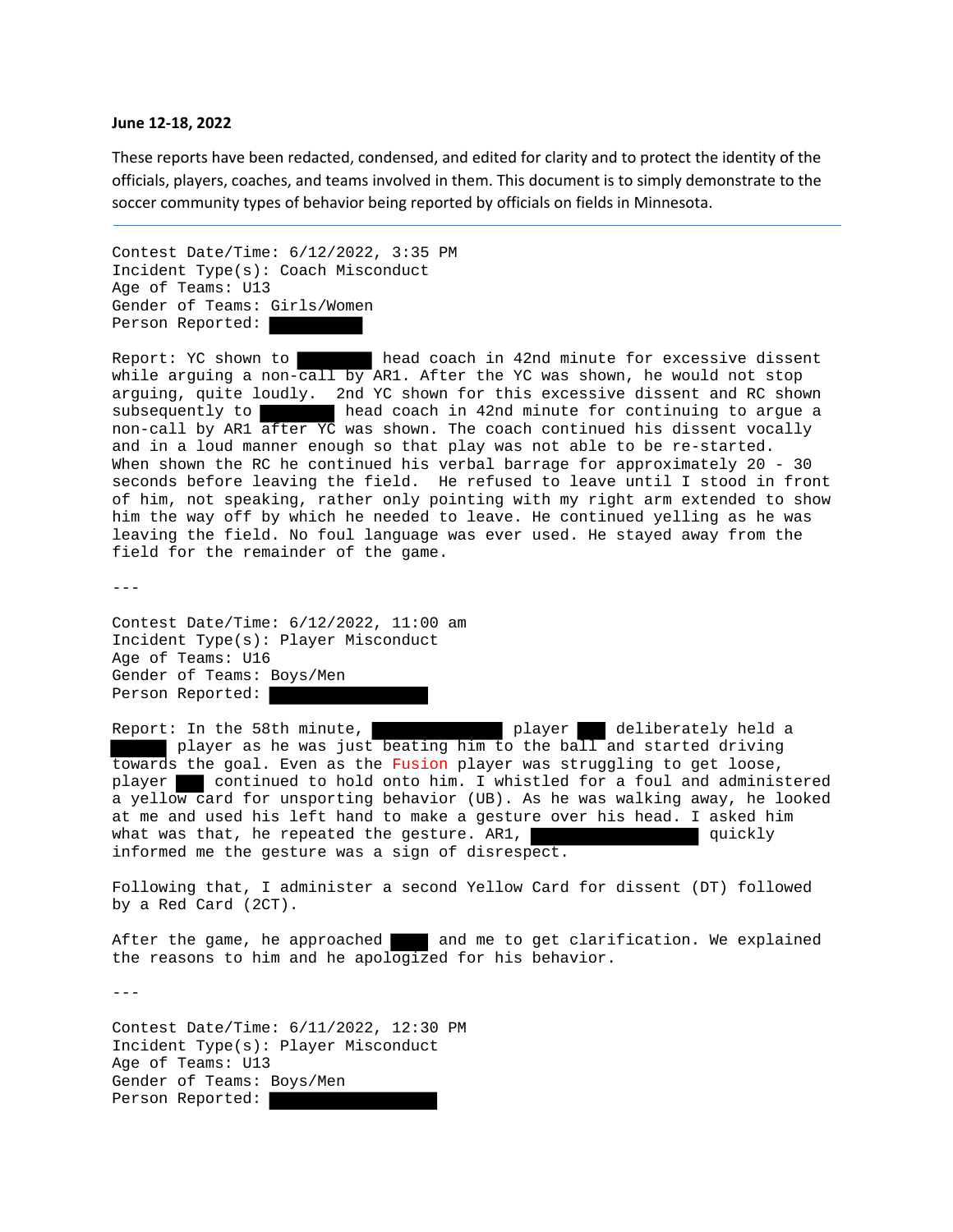## **June 12‐18, 2022**

These reports have been redacted, condensed, and edited for clarity and to protect the identity of the officials, players, coaches, and teams involved in them. This document is to simply demonstrate to the soccer community types of behavior being reported by officials on fields in Minnesota.

```
Contest Date/Time: 6/12/2022, 3:35 PM 
Incident Type(s): Coach Misconduct 
Age of Teams: U13 
Gender of Teams: Girls/Women 
Person Reported:
```
Report: YC shown to head coach in 42nd minute for excessive dissent while arguing a non-call by AR1. After the YC was shown, he would not stop arguing, quite loudly. 2nd YC shown for this excessive dissent and RC shown subsequently to head coach in 42nd minute for continuing to argue a non-call by AR1 after YC was shown. The coach continued his dissent vocally and in a loud manner enough so that play was not able to be re-started. When shown the RC he continued his verbal barrage for approximately 20 - 30 seconds before leaving the field. He refused to leave until I stood in front of him, not speaking, rather only pointing with my right arm extended to show him the way off by which he needed to leave. He continued yelling as he was leaving the field. No foul language was ever used. He stayed away from the field for the remainder of the game.

 $-$ 

Contest Date/Time: 6/12/2022, 11:00 am Incident Type(s): Player Misconduct Age of Teams: U16 Gender of Teams: Boys/Men Person Reported:

Report: In the 58th minute, player deliberately held a player as he was just beating him to the ball and started driving towards the goal. Even as the Fusion player was struggling to get loose, player continued to hold onto him. I whistled for a foul and administered a yellow card for unsporting behavior (UB). As he was walking away, he looked at me and used his left hand to make a gesture over his head. I asked him what was that, he repeated the gesture. AR1, what was that, quickly informed me the gesture was a sign of disrespect.

Following that, I administer a second Yellow Card for dissent (DT) followed by a Red Card (2CT).

After the game, he approached and me to get clarification. We explained the reasons to him and he apologized for his behavior.

---

Contest Date/Time: 6/11/2022, 12:30 PM Incident Type(s): Player Misconduct Age of Teams: U13 Gender of Teams: Boys/Men Person Reported: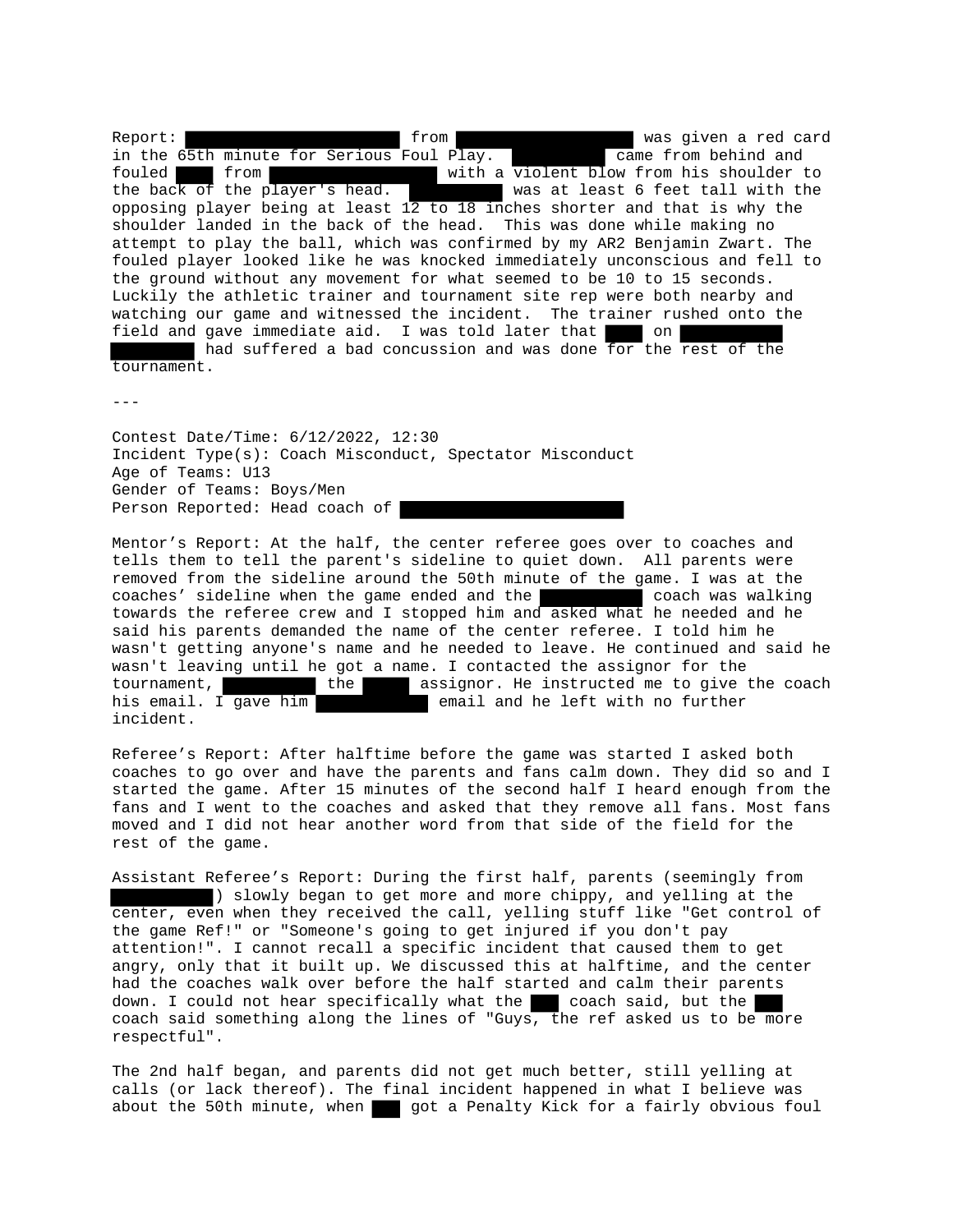Report: **the contract of the contract of the contract of the contract of the contract of the contract of the contract of the contract of the contract of the contract of the contract of the contract of the contract of the c** in the 65th minute for Serious Foul Play. The came from behind and fouled from **the state of the violent blow** from his shoulder to the back of the player's head. Was at least 6 feet tall with the opposing player being at least  $12$  to 18 inches shorter and that is why the shoulder landed in the back of the head. This was done while making no attempt to play the ball, which was confirmed by my AR2 Benjamin Zwart. The fouled player looked like he was knocked immediately unconscious and fell to the ground without any movement for what seemed to be 10 to 15 seconds. Luckily the athletic trainer and tournament site rep were both nearby and watching our game and witnessed the incident. The trainer rushed onto the field and gave immediate aid. I was told later that on had suffered a bad concussion and was done for the rest of the tournament.

---

Contest Date/Time: 6/12/2022, 12:30 Incident Type(s): Coach Misconduct, Spectator Misconduct Age of Teams: U13 Gender of Teams: Boys/Men Person Reported: Head coach of

Mentor's Report: At the half, the center referee goes over to coaches and tells them to tell the parent's sideline to quiet down. All parents were removed from the sideline around the 50th minute of the game. I was at the coaches' sideline when the game ended and the coach was walking towards the referee crew and I stopped him and asked what he needed and he said his parents demanded the name of the center referee. I told him he wasn't getting anyone's name and he needed to leave. He continued and said he wasn't leaving until he got a name. I contacted the assignor for the tournament, the the assignor. He instructed me to give the coach his email. I gave him a semail and he left with no further incident.

Referee's Report: After halftime before the game was started I asked both coaches to go over and have the parents and fans calm down. They did so and I started the game. After 15 minutes of the second half I heard enough from the fans and I went to the coaches and asked that they remove all fans. Most fans moved and I did not hear another word from that side of the field for the rest of the game.

Assistant Referee's Report: During the first half, parents (seemingly from ) slowly began to get more and more chippy, and yelling at the center, even when they received the call, yelling stuff like "Get control of the game Ref!" or "Someone's going to get injured if you don't pay attention!". I cannot recall a specific incident that caused them to get angry, only that it built up. We discussed this at halftime, and the center had the coaches walk over before the half started and calm their parents down. I could not hear specifically what the  $\Box$  coach said, but the coach said something along the lines of "Guys, the ref asked us to be more respectful".

The 2nd half began, and parents did not get much better, still yelling at calls (or lack thereof). The final incident happened in what I believe was about the 50th minute, when got a Penalty Kick for a fairly obvious foul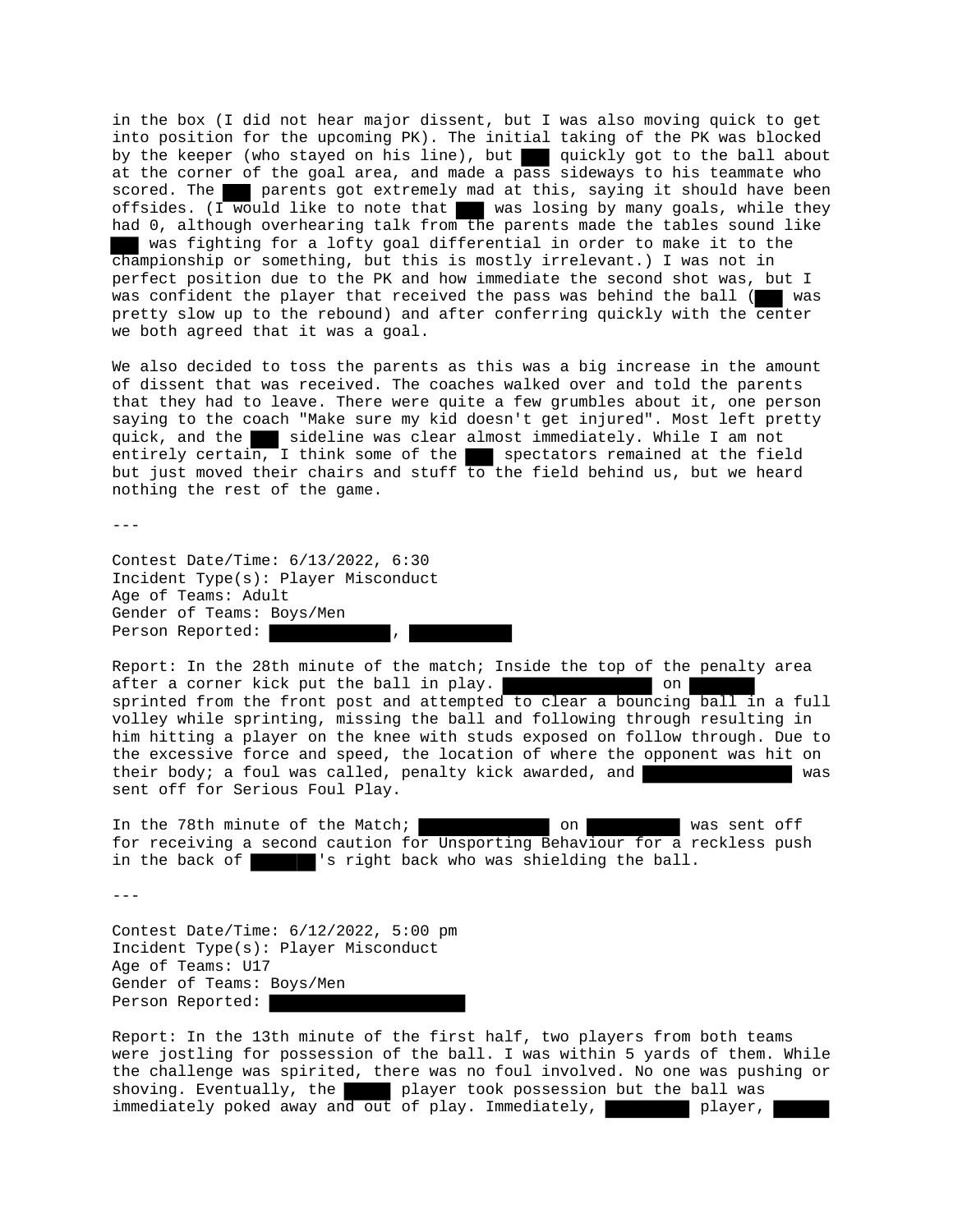in the box (I did not hear major dissent, but I was also moving quick to get into position for the upcoming PK). The initial taking of the PK was blocked by the keeper (who stayed on his line), but quickly got to the ball about at the corner of the goal area, and made a pass sideways to his teammate who scored. The parents got extremely mad at this, saying it should have been offsides. (I would like to note that was losing by many goals, while they had 0, although overhearing talk from the parents made the tables sound like was fighting for a lofty goal differential in order to make it to the championship or something, but this is mostly irrelevant.) I was not in perfect position due to the PK and how immediate the second shot was, but I was confident the player that received the pass was behind the ball ( was pretty slow up to the rebound) and after conferring quickly with the center we both agreed that it was a goal.

We also decided to toss the parents as this was a big increase in the amount of dissent that was received. The coaches walked over and told the parents that they had to leave. There were quite a few grumbles about it, one person saying to the coach "Make sure my kid doesn't get injured". Most left pretty quick, and the sideline was clear almost immediately. While I am not entirely certain, I think some of the spectators remained at the field but just moved their chairs and stuff to the field behind us, but we heard nothing the rest of the game.

---

Contest Date/Time: 6/13/2022, 6:30 Incident Type(s): Player Misconduct Age of Teams: Adult Gender of Teams: Boys/Men Person Reported:

Report: In the 28th minute of the match; Inside the top of the penalty area after a corner kick put the ball in play.  $\Box$  on sprinted from the front post and attempted to clear a bouncing ball in a full volley while sprinting, missing the ball and following through resulting in him hitting a player on the knee with studs exposed on follow through. Due to the excessive force and speed, the location of where the opponent was hit on their body; a foul was called, penalty kick awarded, and was sent off for Serious Foul Play.

In the 78th minute of the Match; and was sent off was sent off for receiving a second caution for Unsporting Behaviour for a reckless push in the back of 's right back who was shielding the ball.

---

Contest Date/Time: 6/12/2022, 5:00 pm Incident Type(s): Player Misconduct Age of Teams: U17 Gender of Teams: Boys/Men Person Reported:

Report: In the 13th minute of the first half, two players from both teams were jostling for possession of the ball. I was within 5 yards of them. While the challenge was spirited, there was no foul involved. No one was pushing or shoving. Eventually, the player took possession but the ball was immediately poked away and out of play. Immediately, player,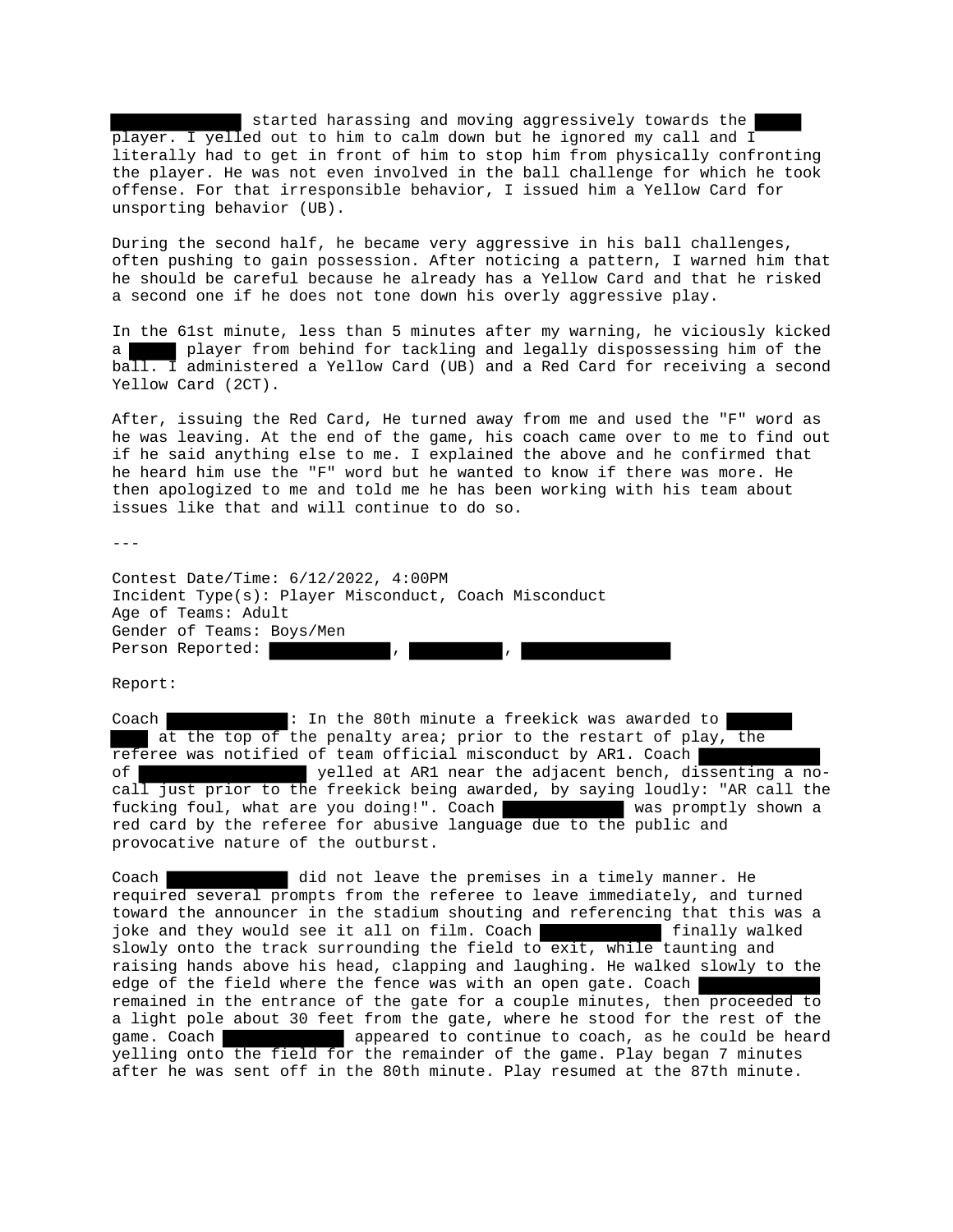started harassing and moving aggressively towards the player. I yelled out to him to calm down but he ignored my call and I literally had to get in front of him to stop him from physically confronting the player. He was not even involved in the ball challenge for which he took offense. For that irresponsible behavior, I issued him a Yellow Card for unsporting behavior (UB).

During the second half, he became very aggressive in his ball challenges, often pushing to gain possession. After noticing a pattern, I warned him that he should be careful because he already has a Yellow Card and that he risked a second one if he does not tone down his overly aggressive play.

In the 61st minute, less than 5 minutes after my warning, he viciously kicked a player from behind for tackling and legally dispossessing him of the ball. I administered a Yellow Card (UB) and a Red Card for receiving a second Yellow Card (2CT).

After, issuing the Red Card, He turned away from me and used the "F" word as he was leaving. At the end of the game, his coach came over to me to find out if he said anything else to me. I explained the above and he confirmed that he heard him use the "F" word but he wanted to know if there was more. He then apologized to me and told me he has been working with his team about issues like that and will continue to do so.

---

Contest Date/Time: 6/12/2022, 4:00PM Incident Type(s): Player Misconduct, Coach Misconduct Age of Teams: Adult Gender of Teams: Boys/Men Person Reported: , ,

Report:

Coach **:** In the 80th minute a freekick was awarded to at the top of the penalty area; prior to the restart of play, the referee was notified of team official misconduct by AR1. Coach of yelled at AR1 near the adjacent bench, dissenting a nocall just prior to the freekick being awarded, by saying loudly: "AR call the fucking foul, what are you doing!". Coach was promptly shown a red card by the referee for abusive language due to the public and provocative nature of the outburst.

Coach did not leave the premises in a timely manner. He required several prompts from the referee to leave immediately, and turned toward the announcer in the stadium shouting and referencing that this was a joke and they would see it all on film. Coach **finally walked** slowly onto the track surrounding the field to exit, while taunting and raising hands above his head, clapping and laughing. He walked slowly to the edge of the field where the fence was with an open gate. Coach remained in the entrance of the gate for a couple minutes, then proceeded to a light pole about 30 feet from the gate, where he stood for the rest of the game. Coach appeared to continue to coach, as he could be heard yelling onto the field for the remainder of the game. Play began 7 minutes after he was sent off in the 80th minute. Play resumed at the 87th minute.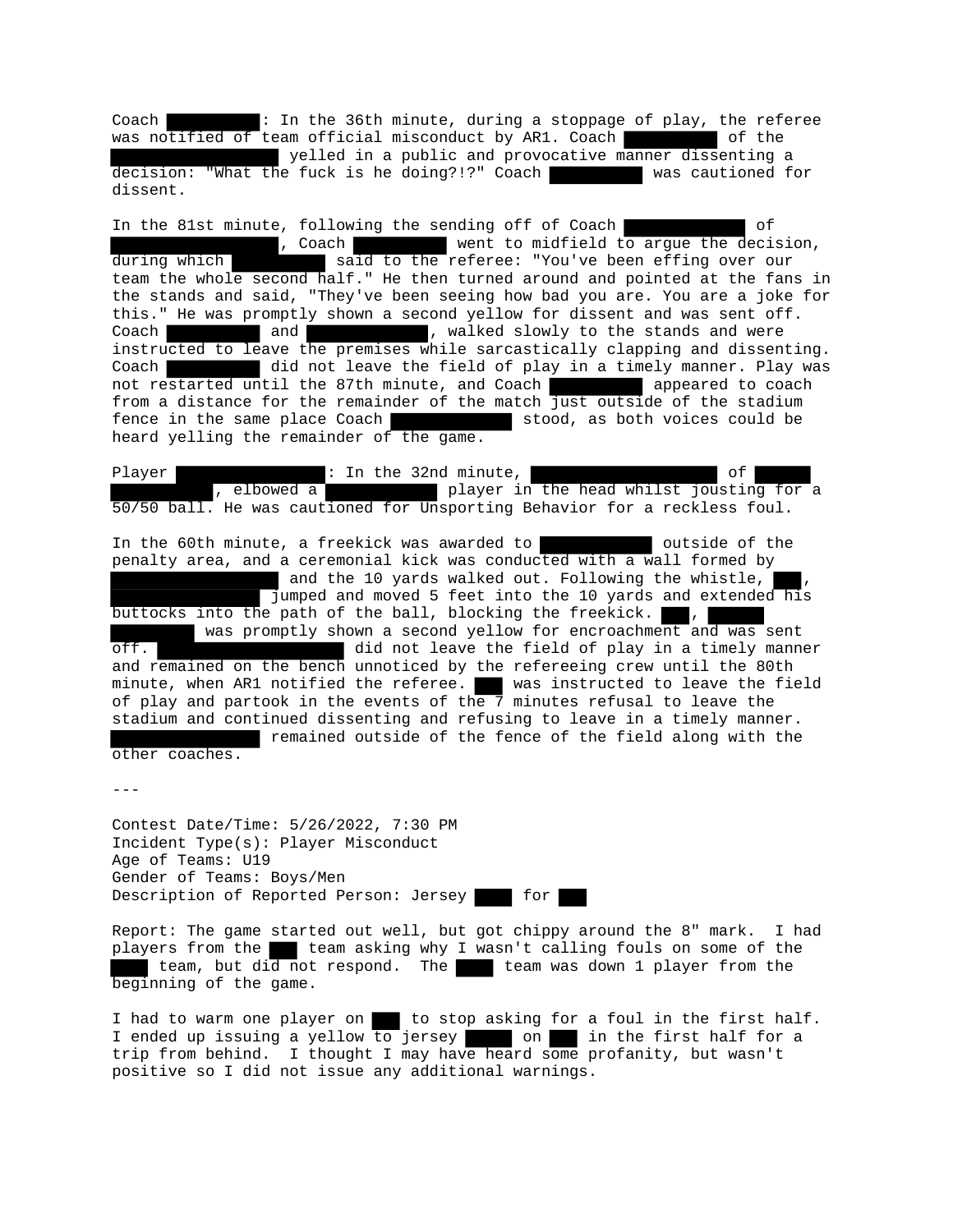Coach : In the 36th minute, during a stoppage of play, the referee was notified of team official misconduct by AR1. Coach

yelled in a public and provocative manner dissenting a decision: "What the fuck is he doing?!?" Coach was cautioned for dissent.

In the 81st minute, following the sending off of Coach of , Coach went to midfield to argue the decision, during which said to the referee: "You've been effing over our team the whole access have referee: "You've been effing over our team the whole second half." He then turned around and pointed at the fans in the stands and said, "They've been seeing how bad you are. You are a joke for this." He was promptly shown a second yellow for dissent and was sent off. Coach and and , walked slowly to the stands and were instructed to leave the premises while sarcastically clapping and dissenting. Coach did not leave the field of play in a timely manner. Play was not restarted until the 87th minute, and Coach **a** appeared to coach from a distance for the remainder of the match just outside of the stadium<br>fence in the same place Coach stood, as both voices could be heard yelling the remainder of the game.

Player : In the 32nd minute,<br>, elbowed a player in the head whilst joustin player in the head whilst jousting for a 50/50 ball. He was cautioned for Unsporting Behavior for a reckless foul.

In the 60th minute, a freekick was awarded to **the containeral outside of the** penalty area, and a ceremonial kick was conducted with a wall formed by and the 10 yards walked out. Following the whistle, jumped and moved 5 feet into the 10 yards and extended his buttocks into the path of the ball, blocking the freekick.  $\blacksquare$ , was promptly shown a second yellow for encroachment and was sent off. did not leave the field of play in a timely manner and remained on the bench unnoticed by the refereeing crew until the 80th minute, when AR1 notified the referee. We was instructed to leave the field of play and partook in the events of the 7 minutes refusal to leave the stadium and continued dissenting and refusing to leave in a timely manner. remained outside of the fence of the field along with the other coaches.

---

Contest Date/Time: 5/26/2022, 7:30 PM Incident Type(s): Player Misconduct Age of Teams: U19 Gender of Teams: Boys/Men Description of Reported Person: Jersey for

Report: The game started out well, but got chippy around the 8" mark. I had players from the team asking why I wasn't calling fouls on some of the team, but did not respond. The team was down 1 player from the beginning of the game.

I had to warm one player on to stop asking for a foul in the first half. I ended up issuing a yellow to jersey on in the first half for a trip from behind. I thought I may have heard some profanity, but wasn't positive so I did not issue any additional warnings.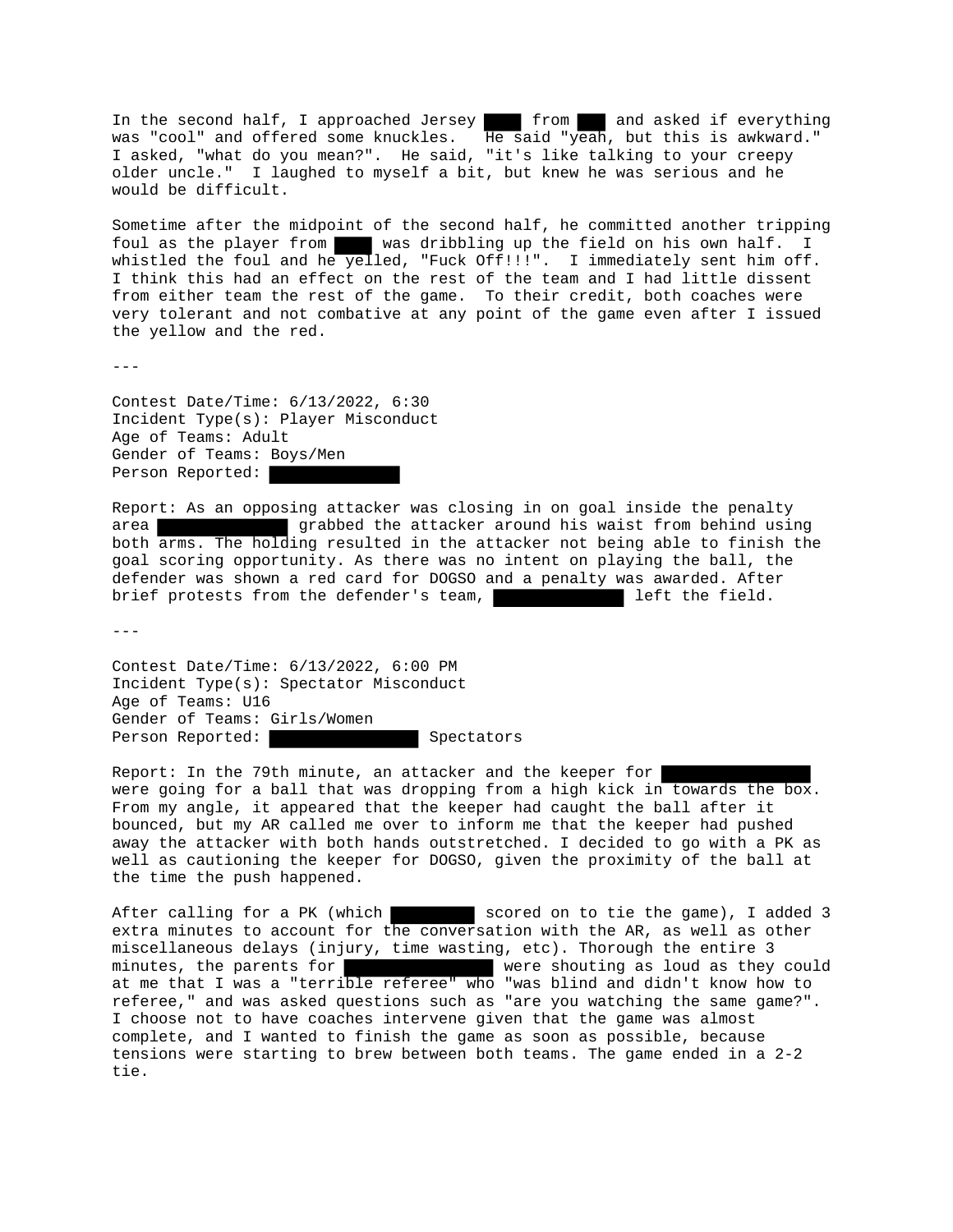In the second half, I approached Jersey from and asked if everything was "cool" and offered some knuckles. He said "yeah, but this is awkward." I asked, "what do you mean?". He said, "it's like talking to your creepy older uncle." I laughed to myself a bit, but knew he was serious and he would be difficult.

Sometime after the midpoint of the second half, he committed another tripping foul as the player from was dribbling up the field on his own half. I whistled the foul and he yelled, "Fuck Off!!!". I immediately sent him off. I think this had an effect on the rest of the team and I had little dissent from either team the rest of the game. To their credit, both coaches were very tolerant and not combative at any point of the game even after I issued the yellow and the red.

 $- - -$ 

Contest Date/Time: 6/13/2022, 6:30 Incident Type(s): Player Misconduct Age of Teams: Adult Gender of Teams: Boys/Men Person Reported:

Report: As an opposing attacker was closing in on goal inside the penalty area grabbed the attacker around his waist from behind using both arms. The holding resulted in the attacker not being able to finish the goal scoring opportunity. As there was no intent on playing the ball, the defender was shown a red card for DOGSO and a penalty was awarded. After brief protests from the defender's team, and left the field.

---

Contest Date/Time: 6/13/2022, 6:00 PM Incident Type(s): Spectator Misconduct Age of Teams: U16 Gender of Teams: Girls/Women Person Reported: Spectators

Report: In the 79th minute, an attacker and the keeper for were going for a ball that was dropping from a high kick in towards the box. From my angle, it appeared that the keeper had caught the ball after it bounced, but my AR called me over to inform me that the keeper had pushed away the attacker with both hands outstretched. I decided to go with a PK as well as cautioning the keeper for DOGSO, given the proximity of the ball at the time the push happened.

After calling for a PK (which scored on to tie the game), I added 3 extra minutes to account for the conversation with the AR, as well as other miscellaneous delays (injury, time wasting, etc). Thorough the entire 3 minutes, the parents for were shouting as loud as they could at me that I was a "terrible referee" who "was blind and didn't know how to referee," and was asked questions such as "are you watching the same game?". I choose not to have coaches intervene given that the game was almost complete, and I wanted to finish the game as soon as possible, because tensions were starting to brew between both teams. The game ended in a 2-2 tie.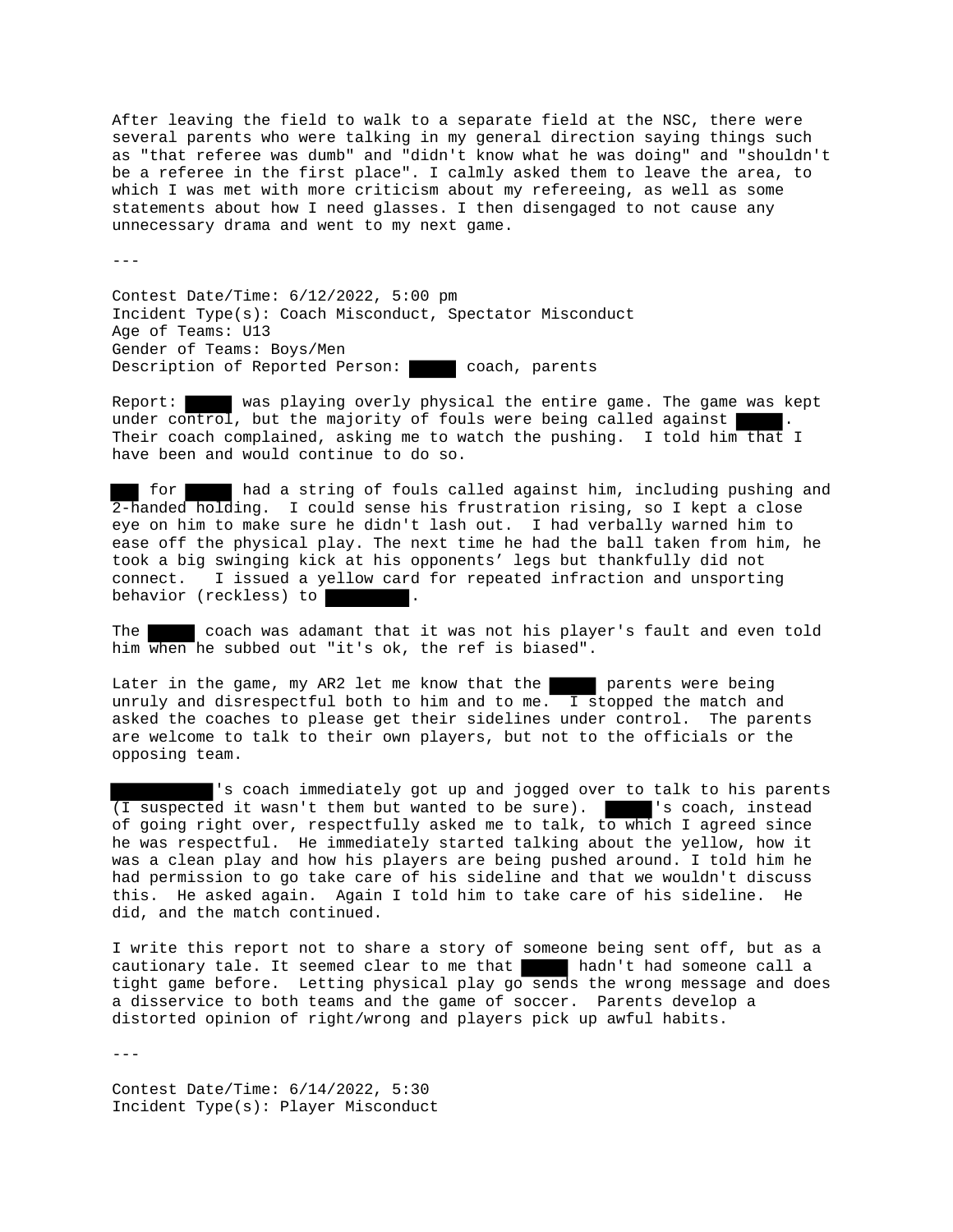After leaving the field to walk to a separate field at the NSC, there were several parents who were talking in my general direction saying things such as "that referee was dumb" and "didn't know what he was doing" and "shouldn't be a referee in the first place". I calmly asked them to leave the area, to which I was met with more criticism about my refereeing, as well as some statements about how I need glasses. I then disengaged to not cause any unnecessary drama and went to my next game.

 $- - -$ 

Contest Date/Time: 6/12/2022, 5:00 pm Incident Type(s): Coach Misconduct, Spectator Misconduct Age of Teams: U13 Gender of Teams: Boys/Men Description of Reported Person: coach, parents

Report: was playing overly physical the entire game. The game was kept under control, but the majority of fouls were being called against Their coach complained, asking me to watch the pushing. I told him that I have been and would continue to do so.

for had a string of fouls called against him, including pushing and 2-handed holding. I could sense his frustration rising, so I kept a close eye on him to make sure he didn't lash out. I had verbally warned him to ease off the physical play. The next time he had the ball taken from him, he took a big swinging kick at his opponents' legs but thankfully did not connect. I issued a yellow card for repeated infraction and unsporting behavior (reckless) to

The coach was adamant that it was not his player's fault and even told him when he subbed out "it's ok, the ref is biased".

Later in the game, my AR2 let me know that the parents were being unruly and disrespectful both to him and to me.  $\overline{I}$  stopped the match and asked the coaches to please get their sidelines under control. The parents are welcome to talk to their own players, but not to the officials or the opposing team.

's coach immediately got up and jogged over to talk to his parents (I suspected it wasn't them but wanted to be sure). | | 's coach, instead of going right over, respectfully asked me to talk, to which I agreed since he was respectful. He immediately started talking about the yellow, how it was a clean play and how his players are being pushed around. I told him he had permission to go take care of his sideline and that we wouldn't discuss this. He asked again. Again I told him to take care of his sideline. He did, and the match continued.

I write this report not to share a story of someone being sent off, but as a cautionary tale. It seemed clear to me that hadn't had someone call a tight game before. Letting physical play go sends the wrong message and does a disservice to both teams and the game of soccer. Parents develop a distorted opinion of right/wrong and players pick up awful habits.

---

Contest Date/Time: 6/14/2022, 5:30 Incident Type(s): Player Misconduct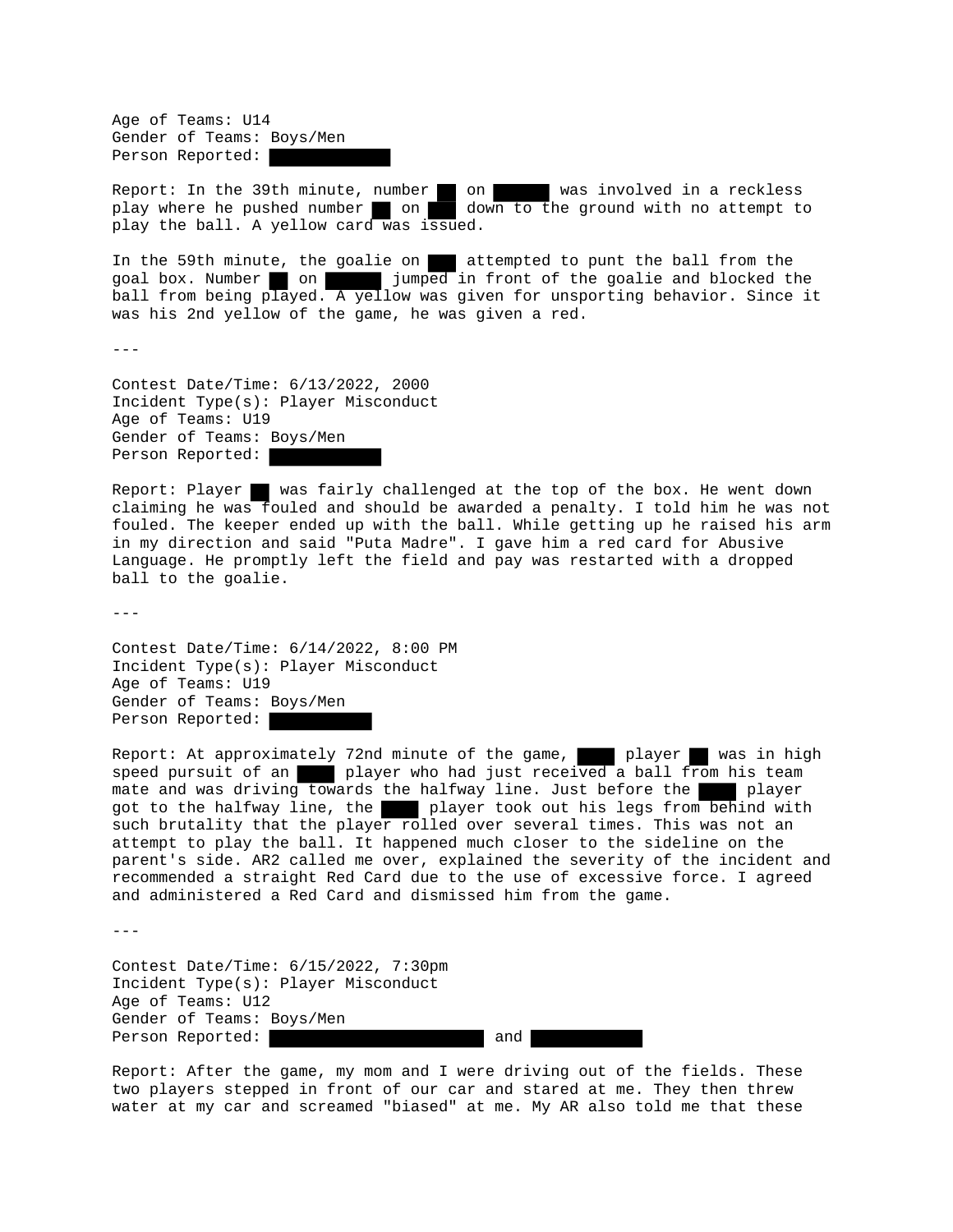Age of Teams: U14 Gender of Teams: Boys/Men Person Reported:

Report: In the 39th minute, number on was involved in a reckless play where he pushed number on down to the ground with no attempt to play the ball. A yellow card was issued.

In the 59th minute, the goalie on attempted to punt the ball from the goal box. Number on on jumped in front of the goalie and blocked the ball from being played. A yellow was given for unsporting behavior. Since it was his 2nd yellow of the game, he was given a red.

 $-$ - $-$ 

Contest Date/Time: 6/13/2022, 2000 Incident Type(s): Player Misconduct Age of Teams: U19 Gender of Teams: Boys/Men Person Reported:

Report: Player was fairly challenged at the top of the box. He went down claiming he was fouled and should be awarded a penalty. I told him he was not fouled. The keeper ended up with the ball. While getting up he raised his arm in my direction and said "Puta Madre". I gave him a red card for Abusive Language. He promptly left the field and pay was restarted with a dropped ball to the goalie.

 $-$ 

Contest Date/Time: 6/14/2022, 8:00 PM Incident Type(s): Player Misconduct Age of Teams: U19 Gender of Teams: Boys/Men Person Reported:

Report: At approximately 72nd minute of the game, player was in high speed pursuit of an player who had just received a ball from his team mate and was driving towards the halfway line. Just before the player got to the halfway line, the player took out his legs from behind with such brutality that the player rolled over several times. This was not an attempt to play the ball. It happened much closer to the sideline on the parent's side. AR2 called me over, explained the severity of the incident and recommended a straight Red Card due to the use of excessive force. I agreed and administered a Red Card and dismissed him from the game.

 $- - -$ 

Contest Date/Time: 6/15/2022, 7:30pm Incident Type(s): Player Misconduct Age of Teams: U12 Gender of Teams: Boys/Men Person Reported: and

Report: After the game, my mom and I were driving out of the fields. These two players stepped in front of our car and stared at me. They then threw water at my car and screamed "biased" at me. My AR also told me that these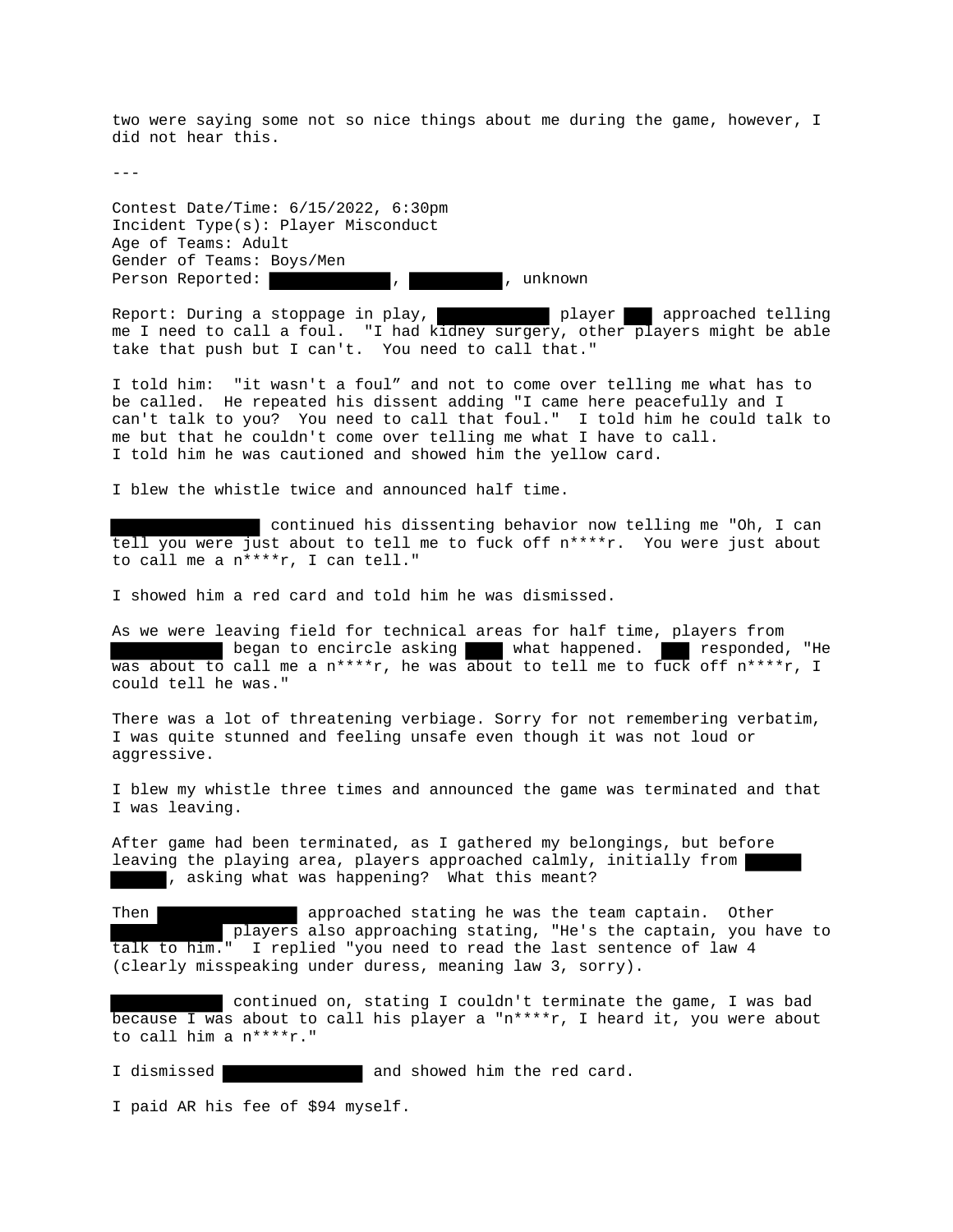two were saying some not so nice things about me during the game, however, I did not hear this.

---

Contest Date/Time: 6/15/2022, 6:30pm Incident Type(s): Player Misconduct Age of Teams: Adult Gender of Teams: Boys/Men Person Reported:  $\qquad \qquad , \qquad \qquad , \qquad \qquad , \qquad$ unknown

Report: During a stoppage in play, player approached telling me I need to call a foul. "I had kidney surgery, other players might be able take that push but I can't. You need to call that."

I told him: "it wasn't a foul" and not to come over telling me what has to be called. He repeated his dissent adding "I came here peacefully and I can't talk to you? You need to call that foul." I told him he could talk to me but that he couldn't come over telling me what I have to call. I told him he was cautioned and showed him the yellow card.

I blew the whistle twice and announced half time.

continued his dissenting behavior now telling me "Oh, I can tell you were just about to tell me to fuck off n\*\*\*\*r. You were just about to call me a n\*\*\*\*r, I can tell."

I showed him a red card and told him he was dismissed.

As we were leaving field for technical areas for half time, players from began to encircle asking what happened. responded, "He was about to call me a n\*\*\*\*r, he was about to tell me to fuck off n\*\*\*\*r, I could tell he was."

There was a lot of threatening verbiage. Sorry for not remembering verbatim, I was quite stunned and feeling unsafe even though it was not loud or aggressive.

I blew my whistle three times and announced the game was terminated and that I was leaving.

After game had been terminated, as I gathered my belongings, but before leaving the playing area, players approached calmly, initially from , asking what was happening? What this meant?

Then **approached** stating he was the team captain. Other players also approaching stating, "He's the captain, you have to talk to him." I replied "you need to read the last sentence of law 4 (clearly misspeaking under duress, meaning law 3, sorry).

 continued on, stating I couldn't terminate the game, I was bad because I was about to call his player a "n\*\*\*\*r, I heard it, you were about to call him a n\*\*\*\*r."

I dismissed **and showed him** the red card.

I paid AR his fee of \$94 myself.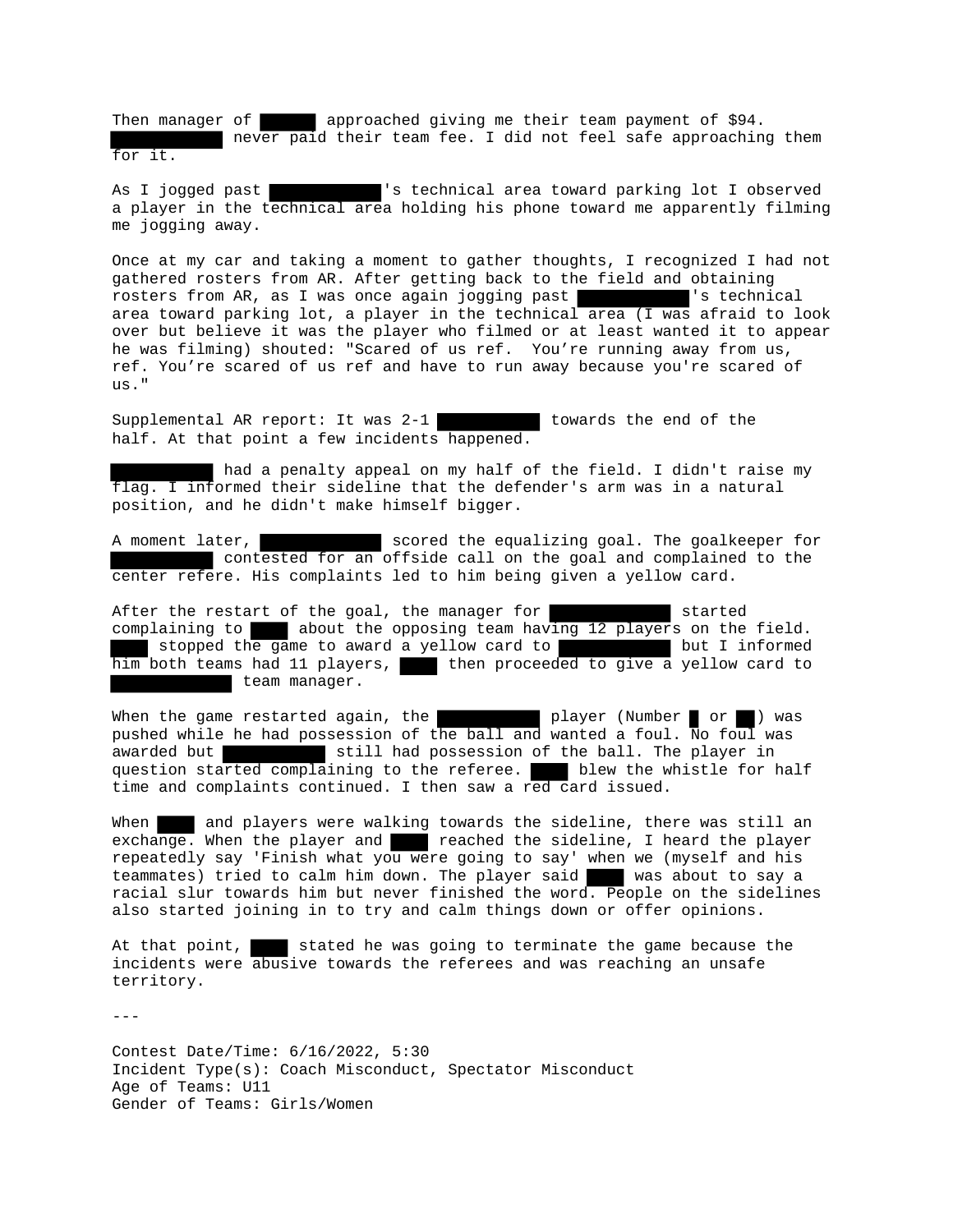Then manager of approached giving me their team payment of \$94. never paid their team fee. I did not feel safe approaching them for it.

As I jogged past 's technical area toward parking lot I observed a player in the technical area holding his phone toward me apparently filming me jogging away.

Once at my car and taking a moment to gather thoughts, I recognized I had not gathered rosters from AR. After getting back to the field and obtaining rosters from AR, as I was once again jogging past rosters from AR, as I was once again jogging past area toward parking lot, a player in the technical area (I was afraid to look over but believe it was the player who filmed or at least wanted it to appear he was filming) shouted: "Scared of us ref. You're running away from us, ref. You're scared of us ref and have to run away because you're scared of us."

Supplemental AR report: It was 2-1 towards the end of the half. At that point a few incidents happened.

had a penalty appeal on my half of the field. I didn't raise my flag. I informed their sideline that the defender's arm was in a natural position, and he didn't make himself bigger.

A moment later, scored the equalizing goal. The goalkeeper for contested for an offside call on the goal and complained to the center refere. His complaints led to him being given a yellow card.

After the restart of the goal, the manager for started complaining to about the opposing team having 12 players on the field. stopped the game to award a yellow card to **but I** but I informed him both teams had 11 players, then proceeded to give a yellow card to team manager.

When the game restarted again, the state of player (Number or ) was pushed while he had possession of the ball and wanted a foul. No foul was awarded but still had possession of the ball. The player in question started complaining to the referee. blew the whistle for half time and complaints continued. I then saw a red card issued.

When and players were walking towards the sideline, there was still an exchange. When the player and **reached the sideline**, I heard the player repeatedly say 'Finish what you were going to say' when we (myself and his teammates) tried to calm him down. The player said was about to say a racial slur towards him but never finished the word. People on the sidelines also started joining in to try and calm things down or offer opinions.

At that point, stated he was going to terminate the game because the incidents were abusive towards the referees and was reaching an unsafe territory.

Contest Date/Time: 6/16/2022, 5:30 Incident Type(s): Coach Misconduct, Spectator Misconduct Age of Teams: U11 Gender of Teams: Girls/Women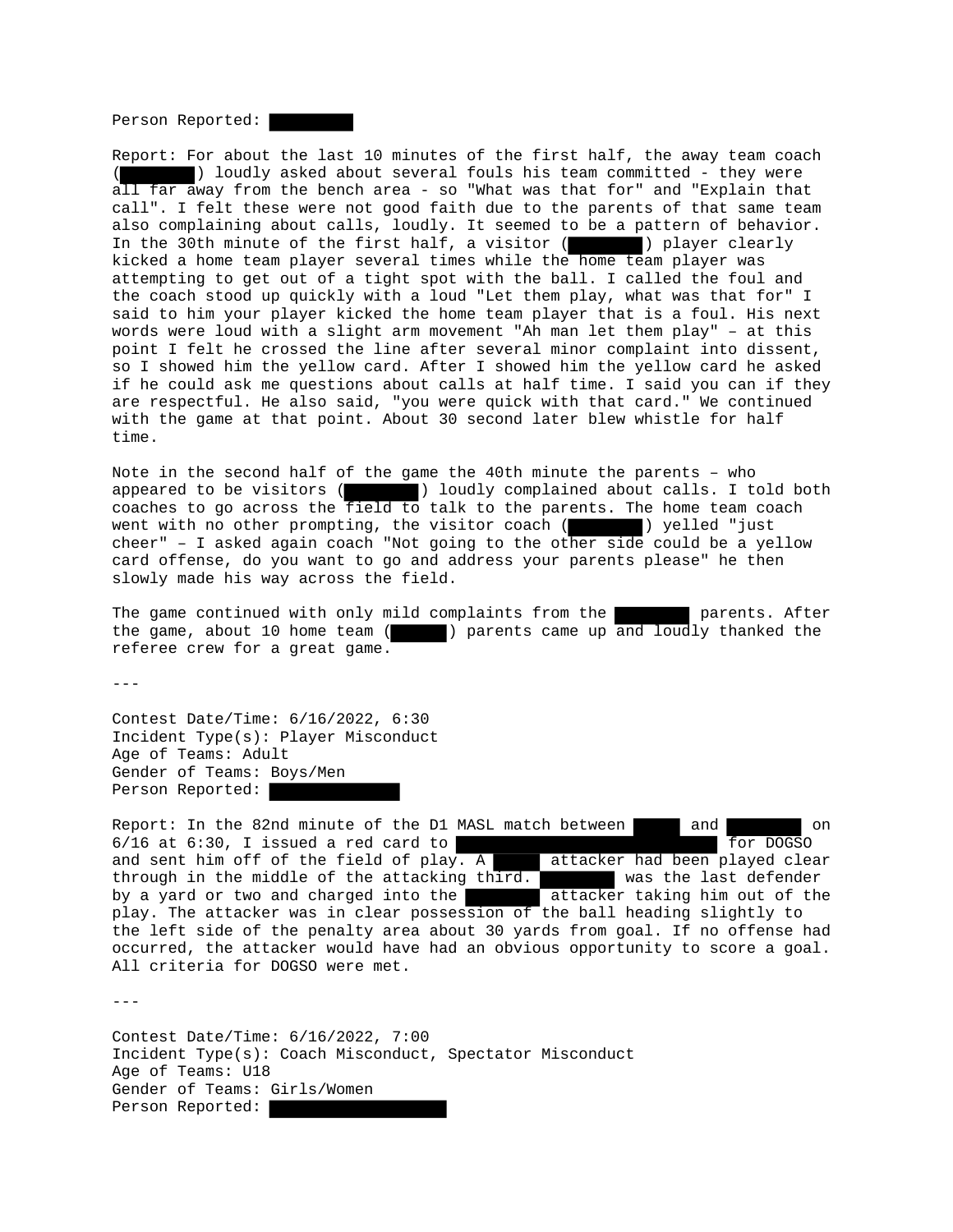Person Reported:

Report: For about the last 10 minutes of the first half, the away team coach ( ) loudly asked about several fouls his team committed - they were all far away from the bench area - so "What was that for" and "Explain that call". I felt these were not good faith due to the parents of that same team also complaining about calls, loudly. It seemed to be a pattern of behavior. In the 30th minute of the first half, a visitor ( ) player clearly kicked a home team player several times while the home team player was attempting to get out of a tight spot with the ball. I called the foul and the coach stood up quickly with a loud "Let them play, what was that for" I said to him your player kicked the home team player that is a foul. His next words were loud with a slight arm movement "Ah man let them play" – at this point I felt he crossed the line after several minor complaint into dissent, so I showed him the yellow card. After I showed him the yellow card he asked if he could ask me questions about calls at half time. I said you can if they are respectful. He also said, "you were quick with that card." We continued with the game at that point. About 30 second later blew whistle for half time.

Note in the second half of the game the 40th minute the parents – who appeared to be visitors ( $\blacksquare$ ) loudly complained about calls. I told both appeared to be visitors ( ) loudly complained about calls. I told both coaches to go across the field to talk to the parents. The home team coach went with no other prompting, the visitor coach ( ) yelled "just cheer" – I asked again coach "Not going to the other side could be a yellow card offense, do you want to go and address your parents please" he then slowly made his way across the field.

The game continued with only mild complaints from the parents. After the game, about 10 home team ( ) parents came up and loudly thanked the referee crew for a great game.

---

Contest Date/Time: 6/16/2022, 6:30 Incident Type(s): Player Misconduct Age of Teams: Adult Gender of Teams: Boys/Men Person Reported:

Report: In the 82nd minute of the D1 MASL match between  $\Box$  and  $\Box$  on  $6/16$  at  $6:30$ , I issued a red card to for  $\frac{6}{16}$  for DOGSO and sent him off of the field of  $play. A$  attacker had been played clear through in the middle of the attacking  $\text{third.}$  was the last defender by a yard or two and charged into the **attacker** taking him out of the play. The attacker was in clear possession of the ball heading slightly to the left side of the penalty area about 30 yards from goal. If no offense had occurred, the attacker would have had an obvious opportunity to score a goal. All criteria for DOGSO were met.

---

Contest Date/Time: 6/16/2022, 7:00 Incident Type(s): Coach Misconduct, Spectator Misconduct Age of Teams: U18 Gender of Teams: Girls/Women Person Reported: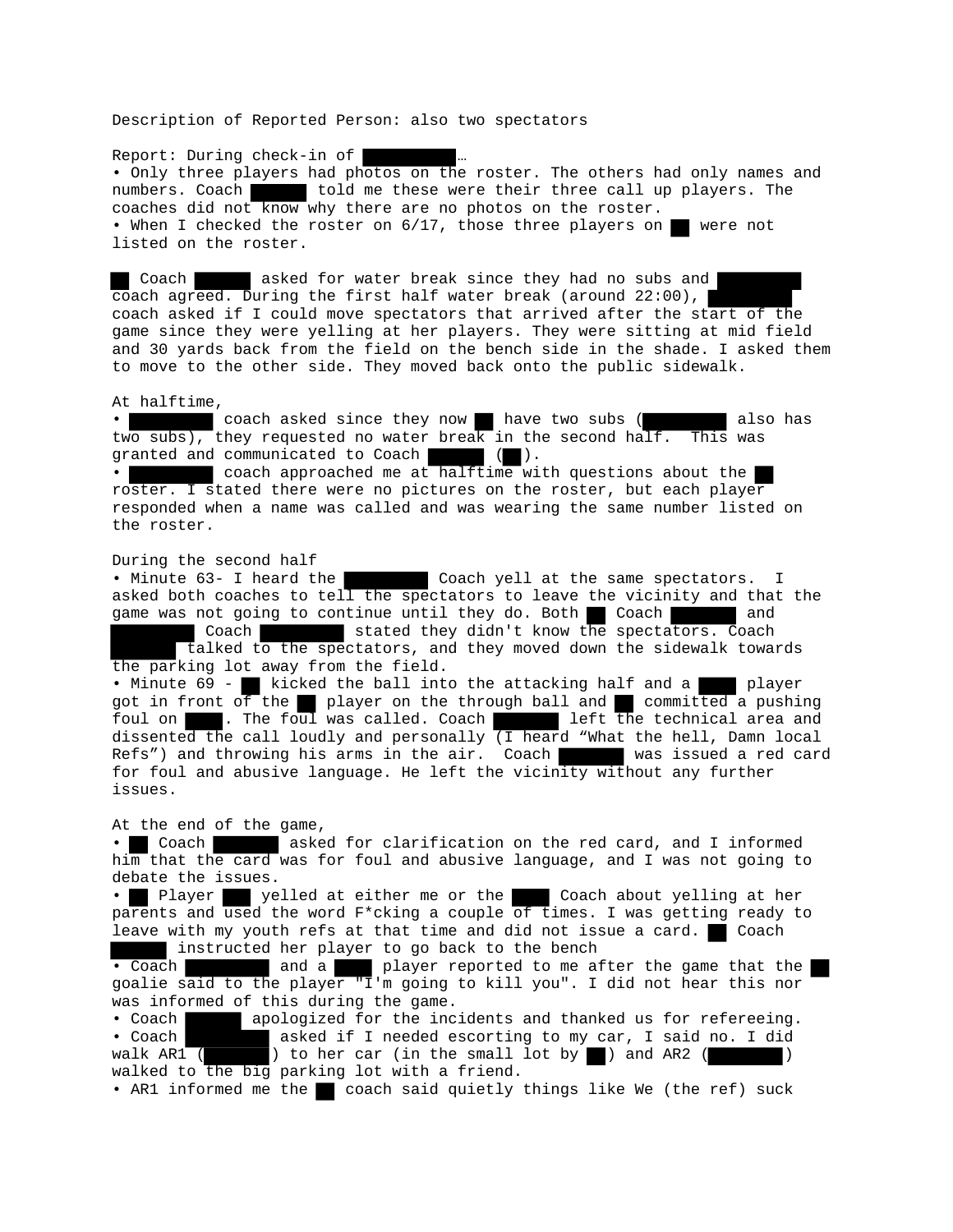Description of Reported Person: also two spectators

Report: During check-in of

• Only three players had photos on the roster. The others had only names and numbers. Coach told me these were their three call up players. The coaches did not know why there are no photos on the roster. • When I checked the roster on 6/17, those three players on were not listed on the roster.

Coach asked for water break since they had no subs and coach agreed. During the first half water break (around 22:00), coach asked if I could move spectators that arrived after the start of the game since they were yelling at her players. They were sitting at mid field and 30 yards back from the field on the bench side in the shade. I asked them to move to the other side. They moved back onto the public sidewalk.

## At halftime,

• coach asked since they now have two subs ( also has two subs), they requested no water break in the second half. This was granted and communicated to Coach ( ).

• coach approached me at halftime with questions about the roster. I stated there were no pictures on the roster, but each player responded when a name was called and was wearing the same number listed on the roster.

## During the second half

• Minute 63- I heard the Coach yell at the same spectators. I asked both coaches to tell the spectators to leave the vicinity and that the game was not going to continue until they do. Both Coach and

 Coach stated they didn't know the spectators. Coach talked to the spectators, and they moved down the sidewalk towards the parking lot away from the field.

• Minute 69 - kicked the ball into the attacking half and a player got in front of the player on the through ball and committed a pushing foul on . The foul was called. Coach left the technical area and dissented the call loudly and personally  $\overline{I}$  heard "What the hell, Damn local Refs") and throwing his arms in the air. Coach was issued a red card Refs") and throwing his arms in the air. Coach for foul and abusive language. He left the vicinity without any further issues.

## At the end of the game,

• Coach asked for clarification on the red card, and I informed him that the card was for foul and abusive language, and I was not going to debate the issues.

Player yelled at either me or the Coach about yelling at her parents and used the word F\*cking a couple of times. I was getting ready to leave with my youth refs at that time and did not issue a card.  $\blacksquare$  Coach instructed her player to go back to the bench

• Coach and a player reported to me after the game that the goalie said to the player "I'm going to kill you". I did not hear this nor was informed of this during the game.

• Coach apologized for the incidents and thanked us for refereeing. • Coach asked if I needed escorting to my car, I said no. I did walk AR1  $($  ) to her car (in the small lot by ) and AR2  $($  ) walked to the big parking lot with a friend.

• AR1 informed me the coach said quietly things like We (the ref) suck